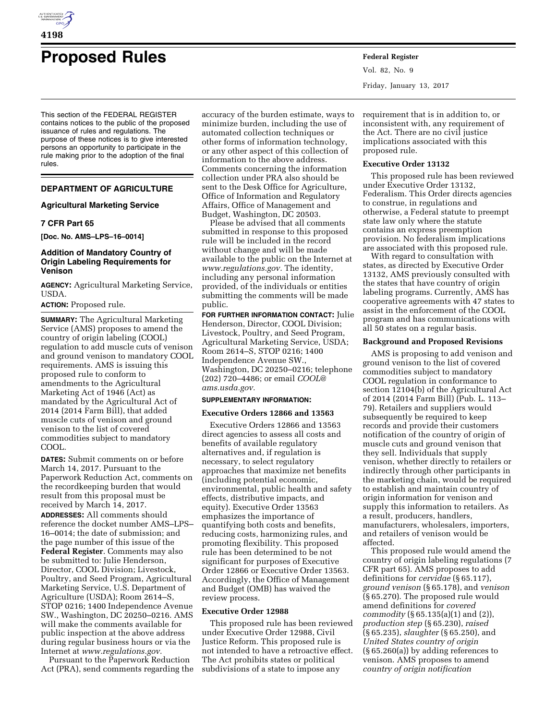

# **Proposed Rules Federal Register**

This section of the FEDERAL REGISTER contains notices to the public of the proposed issuance of rules and regulations. The purpose of these notices is to give interested persons an opportunity to participate in the rule making prior to the adoption of the final rules.

# **DEPARTMENT OF AGRICULTURE**

# **Agricultural Marketing Service**

# **7 CFR Part 65**

**[Doc. No. AMS–LPS–16–0014]** 

# **Addition of Mandatory Country of Origin Labeling Requirements for Venison**

**AGENCY:** Agricultural Marketing Service, USDA.

# **ACTION:** Proposed rule.

**SUMMARY:** The Agricultural Marketing Service (AMS) proposes to amend the country of origin labeling (COOL) regulation to add muscle cuts of venison and ground venison to mandatory COOL requirements. AMS is issuing this proposed rule to conform to amendments to the Agricultural Marketing Act of 1946 (Act) as mandated by the Agricultural Act of 2014 (2014 Farm Bill), that added muscle cuts of venison and ground venison to the list of covered commodities subject to mandatory COOL.

**DATES:** Submit comments on or before March 14, 2017. Pursuant to the Paperwork Reduction Act, comments on the recordkeeping burden that would result from this proposal must be received by March 14, 2017.

**ADDRESSES:** All comments should reference the docket number AMS–LPS– 16–0014; the date of submission; and the page number of this issue of the **Federal Register**. Comments may also be submitted to: Julie Henderson, Director, COOL Division; Livestock, Poultry, and Seed Program, Agricultural Marketing Service, U.S. Department of Agriculture (USDA); Room 2614–S, STOP 0216; 1400 Independence Avenue SW., Washington, DC 20250–0216. AMS will make the comments available for public inspection at the above address during regular business hours or via the Internet at *[www.regulations.gov.](http://www.regulations.gov)* 

Pursuant to the Paperwork Reduction Act (PRA), send comments regarding the

accuracy of the burden estimate, ways to minimize burden, including the use of automated collection techniques or other forms of information technology, or any other aspect of this collection of information to the above address. Comments concerning the information collection under PRA also should be sent to the Desk Office for Agriculture, Office of Information and Regulatory Affairs, Office of Management and Budget, Washington, DC 20503.

Please be advised that all comments submitted in response to this proposed rule will be included in the record without change and will be made available to the public on the Internet at *[www.regulations.gov.](http://www.regulations.gov)* The identity, including any personal information provided, of the individuals or entities submitting the comments will be made public.

**FOR FURTHER INFORMATION CONTACT:** Julie Henderson, Director, COOL Division; Livestock, Poultry, and Seed Program, Agricultural Marketing Service, USDA; Room 2614–S, STOP 0216; 1400 Independence Avenue SW., Washington, DC 20250–0216; telephone (202) 720–4486; or email *[COOL@](mailto:COOL@ams.usda.gov) [ams.usda.gov.](mailto:COOL@ams.usda.gov)* 

# **SUPPLEMENTARY INFORMATION:**

#### **Executive Orders 12866 and 13563**

Executive Orders 12866 and 13563 direct agencies to assess all costs and benefits of available regulatory alternatives and, if regulation is necessary, to select regulatory approaches that maximize net benefits (including potential economic, environmental, public health and safety effects, distributive impacts, and equity). Executive Order 13563 emphasizes the importance of quantifying both costs and benefits, reducing costs, harmonizing rules, and promoting flexibility. This proposed rule has been determined to be not significant for purposes of Executive Order 12866 or Executive Order 13563. Accordingly, the Office of Management and Budget (OMB) has waived the review process.

#### **Executive Order 12988**

This proposed rule has been reviewed under Executive Order 12988, Civil Justice Reform. This proposed rule is not intended to have a retroactive effect. The Act prohibits states or political subdivisions of a state to impose any

Vol. 82, No. 9 Friday, January 13, 2017

requirement that is in addition to, or inconsistent with, any requirement of the Act. There are no civil justice implications associated with this proposed rule.

#### **Executive Order 13132**

This proposed rule has been reviewed under Executive Order 13132, Federalism. This Order directs agencies to construe, in regulations and otherwise, a Federal statute to preempt state law only where the statute contains an express preemption provision. No federalism implications are associated with this proposed rule.

With regard to consultation with states, as directed by Executive Order 13132, AMS previously consulted with the states that have country of origin labeling programs. Currently, AMS has cooperative agreements with 47 states to assist in the enforcement of the COOL program and has communications with all 50 states on a regular basis.

#### **Background and Proposed Revisions**

AMS is proposing to add venison and ground venison to the list of covered commodities subject to mandatory COOL regulation in conformance to section 12104(b) of the Agricultural Act of 2014 (2014 Farm Bill) (Pub. L. 113– 79). Retailers and suppliers would subsequently be required to keep records and provide their customers notification of the country of origin of muscle cuts and ground venison that they sell. Individuals that supply venison, whether directly to retailers or indirectly through other participants in the marketing chain, would be required to establish and maintain country of origin information for venison and supply this information to retailers. As a result, producers, handlers, manufacturers, wholesalers, importers, and retailers of venison would be affected.

This proposed rule would amend the country of origin labeling regulations (7 CFR part 65). AMS proposes to add definitions for *cervidae* (§ 65.117), *ground venison* (§ 65.178), and *venison*  (§ 65.270). The proposed rule would amend definitions for *covered commodity* (§ 65.135(a)(1) and (2)), *production step* (§ 65.230), *raised*  (§ 65.235), *slaughter* (§ 65.250), and *United States country of origin*  (§ 65.260(a)) by adding references to venison. AMS proposes to amend *country of origin notification*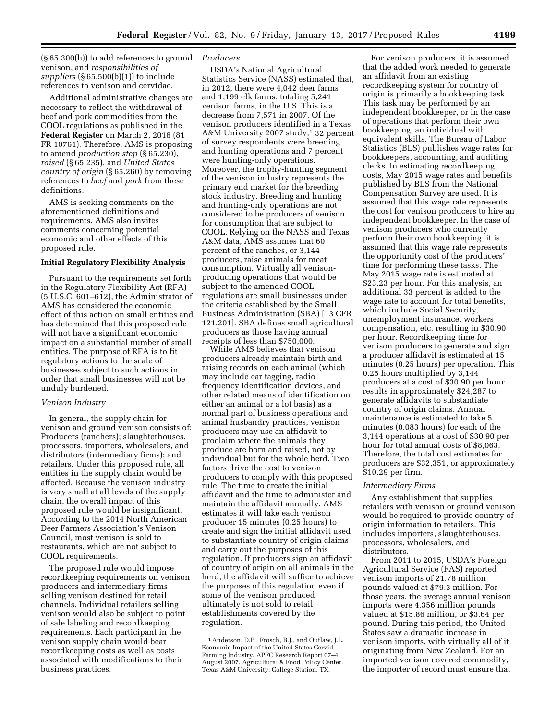(§ 65.300(h)) to add references to ground *Producers*  venison, and *responsibilities of suppliers* (§ 65.500(b)(1)) to include references to venison and cervidae.

Additional administrative changes are necessary to reflect the withdrawal of beef and pork commodities from the COOL regulations as published in the **Federal Register** on March 2, 2016 (81 FR 10761). Therefore, AMS is proposing to amend *production step* (§ 65.230), *raised* (§ 65.235), and *United States country of origin* (§ 65.260) by removing references to *beef* and *pork* from these definitions.

AMS is seeking comments on the aforementioned definitions and requirements. AMS also invites comments concerning potential economic and other effects of this proposed rule.

#### **Initial Regulatory Flexibility Analysis**

Pursuant to the requirements set forth in the Regulatory Flexibility Act (RFA) (5 U.S.C. 601–612), the Administrator of AMS has considered the economic effect of this action on small entities and has determined that this proposed rule will not have a significant economic impact on a substantial number of small entities. The purpose of RFA is to fit regulatory actions to the scale of businesses subject to such actions in order that small businesses will not be unduly burdened.

### *Venison Industry*

In general, the supply chain for venison and ground venison consists of: Producers (ranchers); slaughterhouses, processors, importers, wholesalers, and distributors (intermediary firms); and retailers. Under this proposed rule, all entities in the supply chain would be affected. Because the venison industry is very small at all levels of the supply chain, the overall impact of this proposed rule would be insignificant. According to the 2014 North American Deer Farmers Association's Venison Council, most venison is sold to restaurants, which are not subject to COOL requirements.

The proposed rule would impose recordkeeping requirements on venison producers and intermediary firms selling venison destined for retail channels. Individual retailers selling venison would also be subject to point of sale labeling and recordkeeping requirements. Each participant in the venison supply chain would bear recordkeeping costs as well as costs associated with modifications to their business practices.

USDA's National Agricultural Statistics Service (NASS) estimated that, in 2012, there were 4,042 deer farms and 1,199 elk farms, totaling 5,241 venison farms, in the U.S. This is a decrease from 7,571 in 2007. Of the venison producers identified in a Texas A&M University 2007 study,<sup>1</sup> 32 percent of survey respondents were breeding and hunting operations and 7 percent were hunting-only operations. Moreover, the trophy-hunting segment of the venison industry represents the primary end market for the breeding stock industry. Breeding and hunting and hunting-only operations are not considered to be producers of venison for consumption that are subject to COOL. Relying on the NASS and Texas A&M data, AMS assumes that 60 percent of the ranches, or 3,144 producers, raise animals for meat consumption. Virtually all venisonproducing operations that would be subject to the amended COOL regulations are small businesses under the criteria established by the Small Business Administration (SBA) [13 CFR 121.201]. SBA defines small agricultural producers as those having annual receipts of less than \$750,000.

While AMS believes that venison producers already maintain birth and raising records on each animal (which may include ear tagging, radio frequency identification devices, and other related means of identification on either an animal or a lot basis) as a normal part of business operations and animal husbandry practices, venison producers may use an affidavit to proclaim where the animals they produce are born and raised, not by individual but for the whole herd. Two factors drive the cost to venison producers to comply with this proposed rule: The time to create the initial affidavit and the time to administer and maintain the affidavit annually. AMS estimates it will take each venison producer 15 minutes (0.25 hours) to create and sign the initial affidavit used to substantiate country of origin claims and carry out the purposes of this regulation. If producers sign an affidavit of country of origin on all animals in the herd, the affidavit will suffice to achieve the purposes of this regulation even if some of the venison produced ultimately is not sold to retail establishments covered by the regulation.

For venison producers, it is assumed that the added work needed to generate an affidavit from an existing recordkeeping system for country of origin is primarily a bookkeeping task. This task may be performed by an independent bookkeeper, or in the case of operations that perform their own bookkeeping, an individual with equivalent skills. The Bureau of Labor Statistics (BLS) publishes wage rates for bookkeepers, accounting, and auditing clerks. In estimating recordkeeping costs, May 2015 wage rates and benefits published by BLS from the National Compensation Survey are used. It is assumed that this wage rate represents the cost for venison producers to hire an independent bookkeeper. In the case of venison producers who currently perform their own bookkeeping, it is assumed that this wage rate represents the opportunity cost of the producers' time for performing these tasks. The May 2015 wage rate is estimated at \$23.23 per hour. For this analysis, an additional 33 percent is added to the wage rate to account for total benefits, which include Social Security, unemployment insurance, workers compensation, etc. resulting in \$30.90 per hour. Recordkeeping time for venison producers to generate and sign a producer affidavit is estimated at 15 minutes (0.25 hours) per operation. This 0.25 hours multiplied by 3,144 producers at a cost of \$30.90 per hour results in approximately \$24,287 to generate affidavits to substantiate country of origin claims. Annual maintenance is estimated to take 5 minutes (0.083 hours) for each of the 3,144 operations at a cost of \$30.90 per hour for total annual costs of \$8,063. Therefore, the total cost estimates for producers are \$32,351, or approximately \$10.29 per firm.

#### *Intermediary Firms*

Any establishment that supplies retailers with venison or ground venison would be required to provide country of origin information to retailers. This includes importers, slaughterhouses, processors, wholesalers, and distributors.

From 2011 to 2015, USDA's Foreign Agricultural Service (FAS) reported venison imports of 21.78 million pounds valued at \$79.3 million. For those years, the average annual venison imports were 4.356 million pounds valued at \$15.86 million, or \$3.64 per pound. During this period, the United States saw a dramatic increase in venison imports, with virtually all of it originating from New Zealand. For an imported venison covered commodity, the importer of record must ensure that

<sup>1</sup>Anderson, D.P., Frosch, B.J., and Outlaw, J.L. Economic Impact of the United States Cervid Farming Industry. APFC Research Report 07–4, August 2007. Agricultural & Food Policy Center. Texas A&M University: College Station, TX.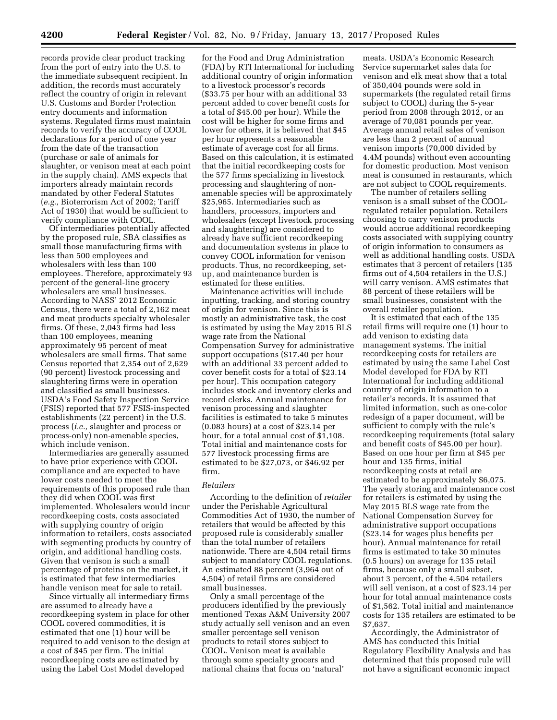records provide clear product tracking from the port of entry into the U.S. to the immediate subsequent recipient. In addition, the records must accurately reflect the country of origin in relevant U.S. Customs and Border Protection entry documents and information systems. Regulated firms must maintain records to verify the accuracy of COOL declarations for a period of one year from the date of the transaction (purchase or sale of animals for slaughter, or venison meat at each point in the supply chain). AMS expects that importers already maintain records mandated by other Federal Statutes (*e.g.,* Bioterrorism Act of 2002; Tariff Act of 1930) that would be sufficient to verify compliance with COOL.

Of intermediaries potentially affected by the proposed rule, SBA classifies as small those manufacturing firms with less than 500 employees and wholesalers with less than 100 employees. Therefore, approximately 93 percent of the general-line grocery wholesalers are small businesses. According to NASS' 2012 Economic Census, there were a total of 2,162 meat and meat products specialty wholesaler firms. Of these, 2,043 firms had less than 100 employees, meaning approximately 95 percent of meat wholesalers are small firms. That same Census reported that 2,354 out of 2,629 (90 percent) livestock processing and slaughtering firms were in operation and classified as small businesses. USDA's Food Safety Inspection Service (FSIS) reported that 577 FSIS-inspected establishments (22 percent) in the U.S. process (*i.e.,* slaughter and process or process-only) non-amenable species, which include venison.

Intermediaries are generally assumed to have prior experience with COOL compliance and are expected to have lower costs needed to meet the requirements of this proposed rule than they did when COOL was first implemented. Wholesalers would incur recordkeeping costs, costs associated with supplying country of origin information to retailers, costs associated with segmenting products by country of origin, and additional handling costs. Given that venison is such a small percentage of proteins on the market, it is estimated that few intermediaries handle venison meat for sale to retail.

Since virtually all intermediary firms are assumed to already have a recordkeeping system in place for other COOL covered commodities, it is estimated that one (1) hour will be required to add venison to the design at a cost of \$45 per firm. The initial recordkeeping costs are estimated by using the Label Cost Model developed

for the Food and Drug Administration (FDA) by RTI International for including additional country of origin information to a livestock processor's records (\$33.75 per hour with an additional 33 percent added to cover benefit costs for a total of \$45.00 per hour). While the cost will be higher for some firms and lower for others, it is believed that \$45 per hour represents a reasonable estimate of average cost for all firms. Based on this calculation, it is estimated that the initial recordkeeping costs for the 577 firms specializing in livestock processing and slaughtering of nonamenable species will be approximately \$25,965. Intermediaries such as handlers, processors, importers and wholesalers (except livestock processing and slaughtering) are considered to already have sufficient recordkeeping and documentation systems in place to convey COOL information for venison products. Thus, no recordkeeping, setup, and maintenance burden is estimated for these entities.

Maintenance activities will include inputting, tracking, and storing country of origin for venison. Since this is mostly an administrative task, the cost is estimated by using the May 2015 BLS wage rate from the National Compensation Survey for administrative support occupations (\$17.40 per hour with an additional 33 percent added to cover benefit costs for a total of \$23.14 per hour). This occupation category includes stock and inventory clerks and record clerks. Annual maintenance for venison processing and slaughter facilities is estimated to take 5 minutes (0.083 hours) at a cost of \$23.14 per hour, for a total annual cost of \$1,108. Total initial and maintenance costs for 577 livestock processing firms are estimated to be \$27,073, or \$46.92 per firm.

#### *Retailers*

According to the definition of *retailer*  under the Perishable Agricultural Commodities Act of 1930, the number of retailers that would be affected by this proposed rule is considerably smaller than the total number of retailers nationwide. There are 4,504 retail firms subject to mandatory COOL regulations. An estimated 88 percent (3,964 out of 4,504) of retail firms are considered small businesses.

Only a small percentage of the producers identified by the previously mentioned Texas A&M University 2007 study actually sell venison and an even smaller percentage sell venison products to retail stores subject to COOL. Venison meat is available through some specialty grocers and national chains that focus on 'natural'

meats. USDA's Economic Research Service supermarket sales data for venison and elk meat show that a total of 350,404 pounds were sold in supermarkets (the regulated retail firms subject to COOL) during the 5-year period from 2008 through 2012, or an average of 70,081 pounds per year. Average annual retail sales of venison are less than 2 percent of annual venison imports (70,000 divided by 4.4M pounds) without even accounting for domestic production. Most venison meat is consumed in restaurants, which are not subject to COOL requirements.

The number of retailers selling venison is a small subset of the COOLregulated retailer population. Retailers choosing to carry venison products would accrue additional recordkeeping costs associated with supplying country of origin information to consumers as well as additional handling costs. USDA estimates that 3 percent of retailers (135 firms out of 4,504 retailers in the U.S.) will carry venison. AMS estimates that 88 percent of these retailers will be small businesses, consistent with the overall retailer population.

It is estimated that each of the 135 retail firms will require one (1) hour to add venison to existing data management systems. The initial recordkeeping costs for retailers are estimated by using the same Label Cost Model developed for FDA by RTI International for including additional country of origin information to a retailer's records. It is assumed that limited information, such as one-color redesign of a paper document, will be sufficient to comply with the rule's recordkeeping requirements (total salary and benefit costs of \$45.00 per hour). Based on one hour per firm at \$45 per hour and 135 firms, initial recordkeeping costs at retail are estimated to be approximately \$6,075. The yearly storing and maintenance cost for retailers is estimated by using the May 2015 BLS wage rate from the National Compensation Survey for administrative support occupations (\$23.14 for wages plus benefits per hour). Annual maintenance for retail firms is estimated to take 30 minutes (0.5 hours) on average for 135 retail firms, because only a small subset, about 3 percent, of the 4,504 retailers will sell venison, at a cost of \$23.14 per hour for total annual maintenance costs of \$1,562. Total initial and maintenance costs for 135 retailers are estimated to be \$7,637.

Accordingly, the Administrator of AMS has conducted this Initial Regulatory Flexibility Analysis and has determined that this proposed rule will not have a significant economic impact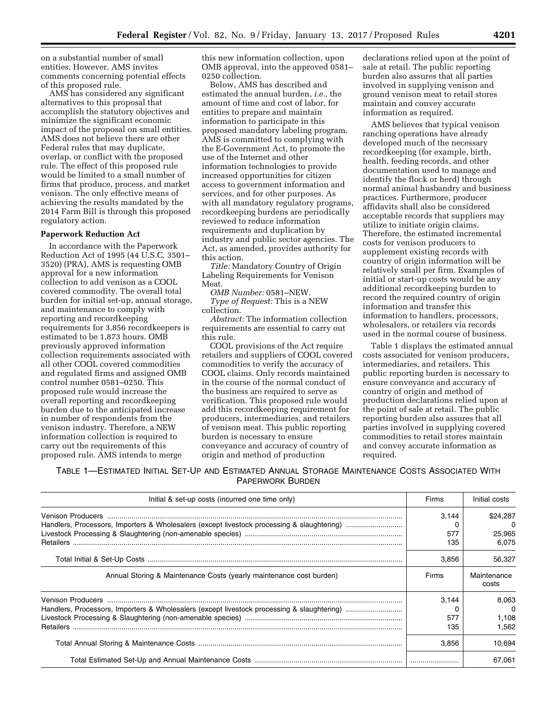on a substantial number of small entities. However, AMS invites comments concerning potential effects of this proposed rule.

AMS has considered any significant alternatives to this proposal that accomplish the statutory objectives and minimize the significant economic impact of the proposal on small entities. AMS does not believe there are other Federal rules that may duplicate, overlap, or conflict with the proposed rule. The effect of this proposed rule would be limited to a small number of firms that produce, process, and market venison. The only effective means of achieving the results mandated by the 2014 Farm Bill is through this proposed regulatory action.

#### **Paperwork Reduction Act**

In accordance with the Paperwork Reduction Act of 1995 (44 U.S.C. 3501– 3520) (PRA), AMS is requesting OMB approval for a new information collection to add venison as a COOL covered commodity. The overall total burden for initial set-up, annual storage, and maintenance to comply with reporting and recordkeeping requirements for 3,856 recordkeepers is estimated to be 1,873 hours. OMB previously approved information collection requirements associated with all other COOL covered commodities and regulated firms and assigned OMB control number 0581–0250. This proposed rule would increase the overall reporting and recordkeeping burden due to the anticipated increase in number of respondents from the venison industry. Therefore, a NEW information collection is required to carry out the requirements of this proposed rule. AMS intends to merge

this new information collection, upon OMB approval, into the approved 0581– 0250 collection.

Below, AMS has described and estimated the annual burden, *i.e.,* the amount of time and cost of labor, for entities to prepare and maintain information to participate in this proposed mandatory labeling program. AMS is committed to complying with the E-Government Act, to promote the use of the Internet and other information technologies to provide increased opportunities for citizen access to government information and services, and for other purposes. As with all mandatory regulatory programs, recordkeeping burdens are periodically reviewed to reduce information requirements and duplication by industry and public sector agencies. The Act, as amended, provides authority for this action.

*Title:* Mandatory Country of Origin Labeling Requirements for Venison Meat.

*OMB Number:* 0581–NEW. *Type of Request:* This is a NEW collection.

*Abstract:* The information collection requirements are essential to carry out this rule.

COOL provisions of the Act require retailers and suppliers of COOL covered commodities to verify the accuracy of COOL claims. Only records maintained in the course of the normal conduct of the business are required to serve as verification. This proposed rule would add this recordkeeping requirement for producers, intermediaries, and retailers of venison meat. This public reporting burden is necessary to ensure conveyance and accuracy of country of origin and method of production

declarations relied upon at the point of sale at retail. The public reporting burden also assures that all parties involved in supplying venison and ground venison meat to retail stores maintain and convey accurate information as required.

AMS believes that typical venison ranching operations have already developed much of the necessary recordkeeping (for example, birth, health, feeding records, and other documentation used to manage and identify the flock or herd) through normal animal husbandry and business practices. Furthermore, producer affidavits shall also be considered acceptable records that suppliers may utilize to initiate origin claims. Therefore, the estimated incremental costs for venison producers to supplement existing records with country of origin information will be relatively small per firm. Examples of initial or start-up costs would be any additional recordkeeping burden to record the required country of origin information and transfer this information to handlers, processors, wholesalers, or retailers via records used in the normal course of business.

Table 1 displays the estimated annual costs associated for venison producers, intermediaries, and retailers. This public reporting burden is necessary to ensure conveyance and accuracy of country of origin and method of production declarations relied upon at the point of sale at retail. The public reporting burden also assures that all parties involved in supplying covered commodities to retail stores maintain and convey accurate information as required.

TABLE 1—ESTIMATED INITIAL SET-UP AND ESTIMATED ANNUAL STORAGE MAINTENANCE COSTS ASSOCIATED WITH PAPERWORK BURDEN

| Initial & set-up costs (incurred one time only)                     | Firms      | Initial costs        |
|---------------------------------------------------------------------|------------|----------------------|
|                                                                     | 3.144      | \$24,287             |
|                                                                     | 577<br>135 | 25.965<br>6.075      |
|                                                                     | 3.856      | 56.327               |
| Annual Storing & Maintenance Costs (yearly maintenance cost burden) | Firms      | Maintenance<br>costs |
|                                                                     | 3.144      | 8.063                |
|                                                                     |            | $\Omega$             |
|                                                                     | 577        | 1.108                |
|                                                                     | 135        | 1.562                |
|                                                                     | 3,856      | 10,694               |
|                                                                     |            | 67.061               |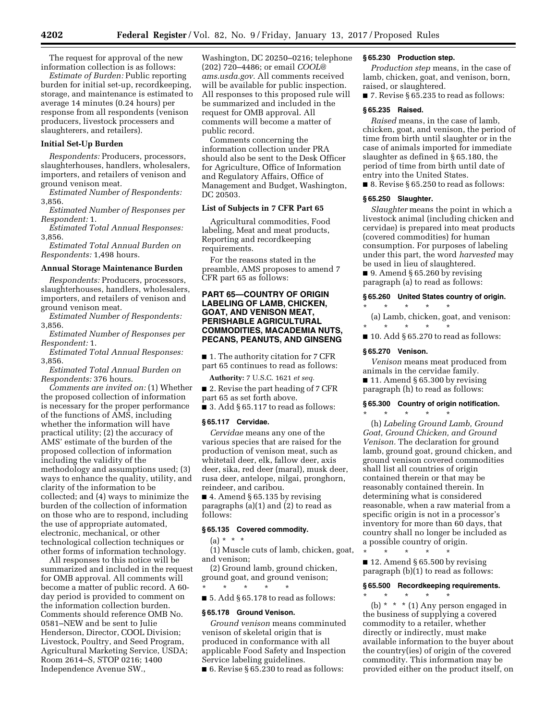The request for approval of the new information collection is as follows:

*Estimate of Burden:* Public reporting burden for initial set-up, recordkeeping, storage, and maintenance is estimated to average 14 minutes (0.24 hours) per response from all respondents (venison producers, livestock processers and slaughterers, and retailers).

# **Initial Set-Up Burden**

*Respondents:* Producers, processors, slaughterhouses, handlers, wholesalers, importers, and retailers of venison and ground venison meat.

*Estimated Number of Respondents:*  3,856.

*Estimated Number of Responses per Respondent:* 1.

*Estimated Total Annual Responses:*  3,856.

*Estimated Total Annual Burden on Respondents:* 1,498 hours.

# **Annual Storage Maintenance Burden**

*Respondents:* Producers, processors, slaughterhouses, handlers, wholesalers, importers, and retailers of venison and ground venison meat.

*Estimated Number of Respondents:*  3,856.

*Estimated Number of Responses per Respondent:* 1.

*Estimated Total Annual Responses:*  3,856.

*Estimated Total Annual Burden on Respondents:* 376 hours.

*Comments are invited on:* (1) Whether the proposed collection of information is necessary for the proper performance of the functions of AMS, including whether the information will have practical utility; (2) the accuracy of AMS' estimate of the burden of the proposed collection of information including the validity of the methodology and assumptions used; (3) ways to enhance the quality, utility, and clarity of the information to be collected; and (4) ways to minimize the burden of the collection of information on those who are to respond, including the use of appropriate automated, electronic, mechanical, or other technological collection techniques or other forms of information technology.

All responses to this notice will be summarized and included in the request for OMB approval. All comments will become a matter of public record. A 60 day period is provided to comment on the information collection burden. Comments should reference OMB No. 0581–NEW and be sent to Julie Henderson, Director, COOL Division; Livestock, Poultry, and Seed Program, Agricultural Marketing Service, USDA; Room 2614–S, STOP 0216; 1400 Independence Avenue SW.,

Washington, DC 20250–0216; telephone (202) 720–4486; or email *[COOL@](mailto:COOL@ams.usda.gov) [ams.usda.gov.](mailto:COOL@ams.usda.gov)* All comments received will be available for public inspection. All responses to this proposed rule will be summarized and included in the request for OMB approval. All comments will become a matter of public record.

Comments concerning the information collection under PRA should also be sent to the Desk Officer for Agriculture, Office of Information and Regulatory Affairs, Office of Management and Budget, Washington, DC 20503.

# **List of Subjects in 7 CFR Part 65**

Agricultural commodities, Food labeling, Meat and meat products, Reporting and recordkeeping requirements.

For the reasons stated in the preamble, AMS proposes to amend 7 CFR part 65 as follows:

# **PART 65—COUNTRY OF ORIGIN LABELING OF LAMB, CHICKEN, GOAT, AND VENISON MEAT, PERISHABLE AGRICULTURAL COMMODITIES, MACADEMIA NUTS, PECANS, PEANUTS, AND GINSENG**

■ 1. The authority citation for 7 CFR part 65 continues to read as follows:

**Authority:** 7 U.S.C. 1621 *et seq.* 

■ 2. Revise the part heading of 7 CFR part 65 as set forth above.

 $\blacksquare$  3. Add § 65.117 to read as follows:

#### **§ 65.117 Cervidae.**

*Cervidae* means any one of the various species that are raised for the production of venison meat, such as whitetail deer, elk, fallow deer, axis deer, sika, red deer (maral), musk deer, rusa deer, antelope, nilgai, pronghorn, reindeer, and caribou.

 $\blacksquare$  4. Amend § 65.135 by revising paragraphs (a)(1) and (2) to read as follows:

#### **§ 65.135 Covered commodity.**

 $(a) * * * *$ 

(1) Muscle cuts of lamb, chicken, goat, and venison;

(2) Ground lamb, ground chicken, ground goat, and ground venison;

\* \* \* \* \* ■ 5. Add § 65.178 to read as follows:

#### **§ 65.178 Ground Venison.**

*Ground venison* means comminuted venison of skeletal origin that is produced in conformance with all applicable Food Safety and Inspection Service labeling guidelines.

■ 6. Revise § 65.230 to read as follows:

# **§ 65.230 Production step.**

*Production step* means, in the case of lamb, chicken, goat, and venison, born, raised, or slaughtered.

■ 7. Revise § 65.235 to read as follows:

#### **§ 65.235 Raised.**

*Raised* means, in the case of lamb, chicken, goat, and venison, the period of time from birth until slaughter or in the case of animals imported for immediate slaughter as defined in § 65.180, the period of time from birth until date of entry into the United States.

■ 8. Revise § 65.250 to read as follows:

#### **§ 65.250 Slaughter.**

*Slaughter* means the point in which a livestock animal (including chicken and cervidae) is prepared into meat products (covered commodities) for human consumption. For purposes of labeling under this part, the word *harvested* may be used in lieu of slaughtered.

■ 9. Amend § 65.260 by revising paragraph (a) to read as follows:

#### **§ 65.260 United States country of origin.**

\* \* \* \* \*

(a) Lamb, chicken, goat, and venison: \* \* \* \* \*

 $\blacksquare$  10. Add § 65.270 to read as follows:

#### **§ 65.270 Venison.**

*Venison* means meat produced from animals in the cervidae family.

■ 11. Amend § 65.300 by revising paragraph (h) to read as follows:

# **§ 65.300 Country of origin notification.**

\* \* \* \* \* (h) *Labeling Ground Lamb, Ground Goat, Ground Chicken, and Ground Venison.* The declaration for ground lamb, ground goat, ground chicken, and ground venison covered commodities shall list all countries of origin contained therein or that may be reasonably contained therein. In determining what is considered reasonable, when a raw material from a specific origin is not in a processor's inventory for more than 60 days, that country shall no longer be included as a possible country of origin. \* \* \* \* \*

 $\blacksquare$  12. Amend § 65.500 by revising paragraph (b)(1) to read as follows:

### **§ 65.500 Recordkeeping requirements.**

\* \* \* \* \* (b) \* \* \* (1) Any person engaged in the business of supplying a covered commodity to a retailer, whether directly or indirectly, must make available information to the buyer about the country(ies) of origin of the covered commodity. This information may be provided either on the product itself, on